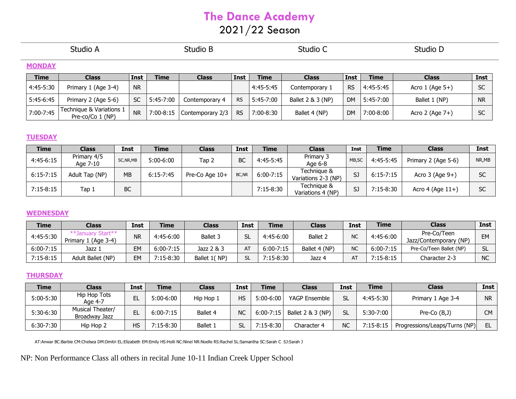# **The Dance Academy**

# 2021/22 Season

| Studio A      |                                              |             | Studio B    |                  |             | Studio C    |                   |             |             | Studio D             |           |  |
|---------------|----------------------------------------------|-------------|-------------|------------------|-------------|-------------|-------------------|-------------|-------------|----------------------|-----------|--|
| <b>MONDAY</b> |                                              |             |             |                  |             |             |                   |             |             |                      |           |  |
| <b>Time</b>   | <b>Class</b>                                 | <b>Inst</b> | <b>Time</b> | <b>Class</b>     | <b>Inst</b> | <b>Time</b> | <b>Class</b>      | <b>Inst</b> | <b>Time</b> | <b>Class</b>         | Inst      |  |
| 4:45-5:30     | Primary 1 (Age 3-4)                          | <b>NR</b>   |             |                  |             | 4:45-5:45   | Contemporary 1    | <b>RS</b>   | 4:45-5:45   | Acro $1$ (Age $5+$ ) | <b>SC</b> |  |
| $5:45-6:45$   | Primary 2 (Age 5-6)                          | <b>SC</b>   | 5:45-7:00   | Contemporary 4   | <b>RS</b>   | 5:45-7:00   | Ballet 2 & 3 (NP) | <b>DM</b>   | 5:45-7:00   | Ballet 1 (NP)        | <b>NR</b> |  |
| 7:00-7:45     | Technique & Variations 1<br>Pre-co/Co 1 (NP) | <b>NR</b>   | 7:00-8:15   | Contemporary 2/3 | <b>RS</b>   | 7:00-8:30   | Ballet 4 (NP)     | <b>DM</b>   | $7:00-8:00$ | Acro 2 (Age 7+)      | <b>SC</b> |  |

#### **TUESDAY**

| <b>Time</b> | Class                   | <b>Inst</b> | <b>Time</b>   | <b>Class</b>   | <b>Inst</b> | <b>Time</b>   | <b>Class</b>                       | Inst   | <b>Time</b>   | <b>Class</b>         | <b>Inst</b> |
|-------------|-------------------------|-------------|---------------|----------------|-------------|---------------|------------------------------------|--------|---------------|----------------------|-------------|
| $4:45-6:15$ | Primary 4/5<br>Age 7-10 | SC, NR, MB  | $5:00-6:00$   | Tap 2          | <b>BC</b>   | 4:45-5:45     | Primary 3<br>Age 6-8               | MB, SC | 4:45-5:45     | Primary 2 (Age 5-6)  | NR,MB       |
| $6:15-7:15$ | Adult Tap (NP)          | <b>MB</b>   | $6:15 - 7:45$ | Pre-Co Age 10+ | BC, NR      | $6:00 - 7:15$ | Technique &<br>Variations 2-3 (NP) | SJ     | $6:15 - 7:15$ | Acro $3$ (Age $9+$ ) | cr<br>JU.   |
| $7:15-8:15$ | Tap 1                   | BC          |               |                |             | $7:15-8:30$   | Technique &<br>Variations 4 (NP)   | SJ     | $7:15-8:30$   | Acro 4 (Age $11+$ )  | <b>SC</b>   |

#### **WEDNESDAY**

| Time          | Class                               | <b>Inst</b> | <b>Time</b>   | Class        | <b>Inst</b> | <b>Time</b>   | Class               | Inst      | <b>Time</b>   | Class                                 | <b>Inst</b>    |
|---------------|-------------------------------------|-------------|---------------|--------------|-------------|---------------|---------------------|-----------|---------------|---------------------------------------|----------------|
| 4:45-5:30     | uarv Start**<br>Primary 1 (Age 3-4) | <b>NR</b>   | 4:45-6:00     | Ballet 3     |             | 4:45-6:00     | Ballet <sub>2</sub> | NC        | 4:45-6:00     | Pre-Co/Teen<br>Jazz/Contemporary (NP) | <b>EM</b>      |
| $6:00 - 7:15$ | Jazz 1                              | <b>EM</b>   | $6:00 - 7:15$ | Jazz 2 & 3   | AT          | $6:00 - 7:15$ | Ballet 4 (NP)       | <b>NC</b> | $6:00 - 7:15$ | Pre-Co/Teen Ballet (NP)               | <b>CI</b><br>◡ |
| $7:15-8:15$   | Adult Ballet (NP)                   | EM          | $7:15-8:30$   | Ballet 1(NP) |             | $7:15-8:30$   | Jazz 4              | AT        | $7:15-8:15$   | Character 2-3                         | <b>NC</b>      |

### **THURSDAY**

| <b>Time</b>   | <b>Class</b>                      | Inst | <b>Time</b>   | Class     | Inst | <b>Time</b> | <b>Class</b>                  | Inst      | Time        | <b>Class</b>                  | Inst      |
|---------------|-----------------------------------|------|---------------|-----------|------|-------------|-------------------------------|-----------|-------------|-------------------------------|-----------|
| $5:00 - 5:30$ | Hip Hop Tots<br>Age 4-7           |      | $5:00-6:00$   | Hip Hop 1 | HS   | $5:00-6:00$ | YAGP Ensemble                 | SL        | 4:45-5:30   | Primary 1 Age 3-4             | <b>NR</b> |
| 5:30-6:30     | Musical Theater/<br>Broadway Jazz |      | $6:00 - 7:15$ | Ballet 4  | NC   |             | 6:00-7:15   Ballet 2 & 3 (NP) |           | 5:30-7:00   | Pre-Co (B,J)                  | CM.       |
| 6:30-7:30     | Hip Hop 2                         | HS   | 7:15-8:30     | Ballet 1  | SL   | $7:15-8:30$ | Character 4                   | <b>NC</b> | $7:15-8:15$ | Progressions/Leaps/Turns (NP) | EL        |

AT:Anwar BC:Barbie CM:Chelsea DM:Dmitri EL:Elizabeth EM:Emily HS:Holli NC:Ninel NR:Noelle RS:Rachel SL:Samantha SC:Sarah C SJ:Sarah J

NP: Non Performance Class all others in recital June 10-11 Indian Creek Upper School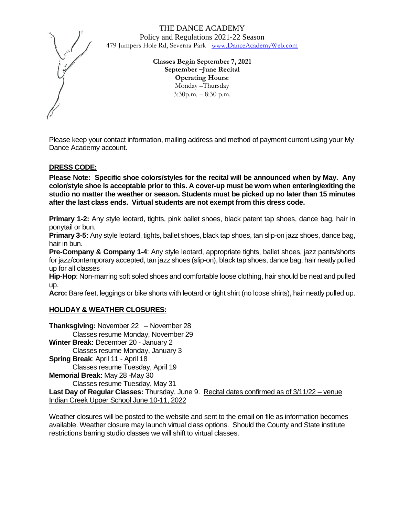> **Classes Begin September 7, 2021 September –June Recital Operating Hours:** Monday –Thursday 3:30p.m. – 8:30 p.m*.*

Please keep your contact information, mailing address and method of payment current using your My Dance Academy account.

# **DRESS CODE:**

**Please Note: Specific shoe colors/styles for the recital will be announced when by May. Any color/style shoe is acceptable prior to this. A cover-up must be worn when entering/exiting the studio no matter the weather or season. Students must be picked up no later than 15 minutes after the last class ends. Virtual students are not exempt from this dress code.** 

**Primary 1-2:** Any style leotard, tights, pink ballet shoes, black patent tap shoes, dance bag, hair in ponytail or bun.

**Primary 3-5:** Any style leotard, tights, ballet shoes, black tap shoes, tan slip-on jazz shoes, dance bag, hair in bun.

**Pre-Company & Company 1-4**: Any style leotard, appropriate tights, ballet shoes, jazz pants/shorts for jazz/contemporary accepted, tan jazz shoes (slip-on), black tap shoes, dance bag, hair neatly pulled up for all classes

**Hip-Hop**: Non-marring soft soled shoes and comfortable loose clothing, hair should be neat and pulled up.

**Acro:** Bare feet, leggings or bike shorts with leotard or tight shirt (no loose shirts), hair neatly pulled up.

#### **HOLIDAY & WEATHER CLOSURES:**

**Thanksgiving:** November 22 – November 28 Classes resume Monday, November 29 **Winter Break:** December 20 - January 2 Classes resume Monday, January 3 **Spring Break**: April 11 - April 18 Classes resume Tuesday, April 19 **Memorial Break:** May 28 -May 30 Classes resume Tuesday, May 31 **Last Day of Regular Classes:** Thursday, June 9. Recital dates confirmed as of 3/11/22 – venue Indian Creek Upper School June 10-11, 2022

Weather closures will be posted to the website and sent to the email on file as information becomes available. Weather closure may launch virtual class options. Should the County and State institute restrictions barring studio classes we will shift to virtual classes.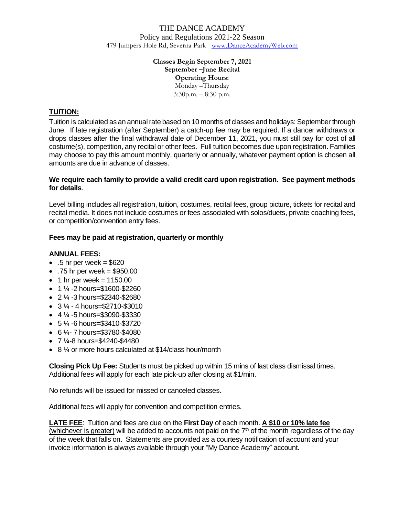#### **Classes Begin September 7, 2021 September –June Recital Operating Hours:** Monday –Thursday 3:30p.m. – 8:30 p.m*.*

# **TUITION:**

Tuition is calculated as an annual rate based on 10 months of classes and holidays: September through June. If late registration (after September) a catch-up fee may be required. If a dancer withdraws or drops classes after the final withdrawal date of December 11, 2021, you must still pay for cost of all costume(s), competition, any recital or other fees. Full tuition becomes due upon registration. Families may choose to pay this amount monthly, quarterly or annually, whatever payment option is chosen all amounts are due in advance of classes.

#### **We require each family to provide a valid credit card upon registration. See payment methods for details**.

Level billing includes all registration, tuition, costumes, recital fees, group picture, tickets for recital and recital media. It does not include costumes or fees associated with solos/duets, private coaching fees, or competition/convention entry fees.

#### **Fees may be paid at registration, quarterly or monthly**

#### **ANNUAL FEES:**

- $\bullet$  .5 hr per week = \$620
- $\bullet$  .75 hr per week = \$950.00
- $\bullet$  1 hr per week = 1150.00
- $\bullet$  1  $\frac{1}{4}$  -2 hours=\$1600-\$2260
- 2 ¼ -3 hours=\$2340-\$2680
- $\bullet$  3  $\frac{1}{4}$  4 hours=\$2710-\$3010
- $\bullet$  4  $\frac{1}{4}$  -5 hours=\$3090-\$3330
- 5 ¼ -6 hours=\$3410-\$3720
- $\cdot$  6  $\frac{1}{4}$  7 hours=\$3780-\$4080
- 7 ¼-8 hours=\$4240-\$4480
- 8 ¼ or more hours calculated at \$14/class hour/month

**Closing Pick Up Fee:** Students must be picked up within 15 mins of last class dismissal times. Additional fees will apply for each late pick-up after closing at \$1/min.

No refunds will be issued for missed or canceled classes.

Additional fees will apply for convention and competition entries.

**LATE FEE**: Tuition and fees are due on the **First Day** of each month. **A \$10 or 10% late fee**  (whichever is greater) will be added to accounts not paid on the  $7<sup>th</sup>$  of the month regardless of the day of the week that falls on. Statements are provided as a courtesy notification of account and your invoice information is always available through your "My Dance Academy" account.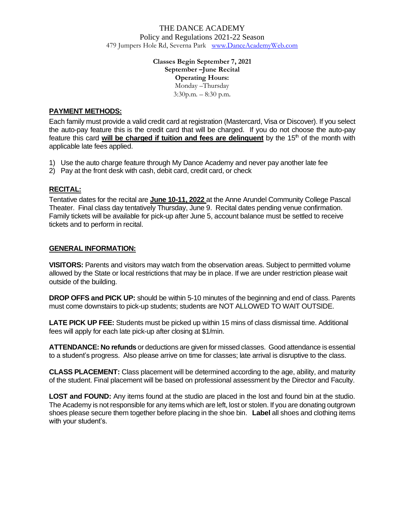#### **Classes Begin September 7, 2021 September –June Recital Operating Hours:** Monday –Thursday 3:30p.m. – 8:30 p.m*.*

# **PAYMENT METHODS:**

Each family must provide a valid credit card at registration (Mastercard, Visa or Discover). If you select the auto-pay feature this is the credit card that will be charged. If you do not choose the auto-pay feature this card **will be charged if tuition and fees are delinquent** by the 15th of the month with applicable late fees applied.

- 1) Use the auto charge feature through My Dance Academy and never pay another late fee
- 2) Pay at the front desk with cash, debit card, credit card, or check

# **RECITAL:**

Tentative dates for the recital are **June 10-11, 2022** at the Anne Arundel Community College Pascal Theater. Final class day tentatively Thursday, June 9. Recital dates pending venue confirmation. Family tickets will be available for pick-up after June 5, account balance must be settled to receive tickets and to perform in recital.

# **GENERAL INFORMATION:**

**VISITORS:** Parents and visitors may watch from the observation areas. Subject to permitted volume allowed by the State or local restrictions that may be in place. If we are under restriction please wait outside of the building.

**DROP OFFS and PICK UP:** should be within 5-10 minutes of the beginning and end of class. Parents must come downstairs to pick-up students; students are NOT ALLOWED TO WAIT OUTSIDE.

**LATE PICK UP FEE:** Students must be picked up within 15 mins of class dismissal time. Additional fees will apply for each late pick-up after closing at \$1/min.

**ATTENDANCE: No refunds** or deductions are given for missed classes. Good attendance is essential to a student's progress. Also please arrive on time for classes; late arrival is disruptive to the class.

**CLASS PLACEMENT:** Class placement will be determined according to the age, ability, and maturity of the student. Final placement will be based on professional assessment by the Director and Faculty.

**LOST and FOUND:** Any items found at the studio are placed in the lost and found bin at the studio. The Academy is not responsible for any items which are left, lost or stolen. If you are donating outgrown shoes please secure them together before placing in the shoe bin. **Label** all shoes and clothing items with your student's.